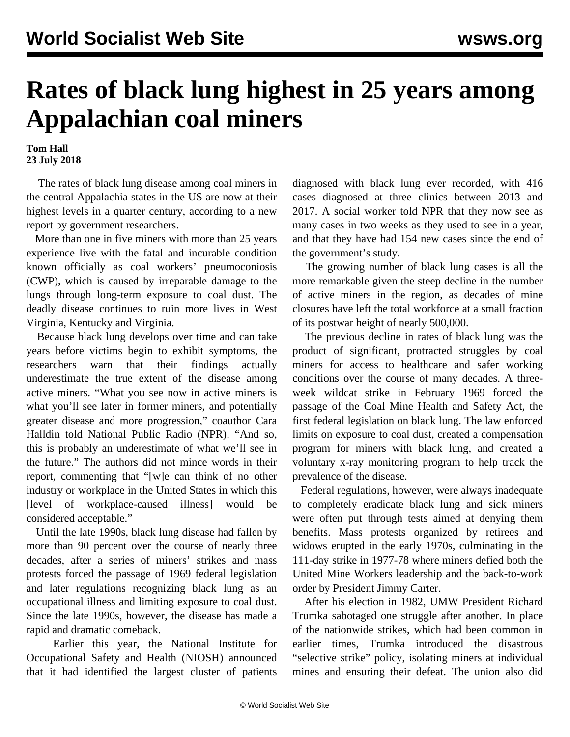## **Rates of black lung highest in 25 years among Appalachian coal miners**

**Tom Hall 23 July 2018**

 The rates of black lung disease among coal miners in the central Appalachia states in the US are now at their highest levels in a quarter century, according to a new [report](https://www.npr.org/2018/07/19/630470150/black-lung-rate-hits-25-year-high-in-appalachian-coal-mining-states) by government researchers.

 More than one in five miners with more than 25 years experience live with the fatal and incurable condition known officially as coal workers' pneumoconiosis (CWP), which is caused by irreparable damage to the lungs through long-term exposure to coal dust. The deadly disease continues to ruin more lives in West Virginia, Kentucky and Virginia.

 Because black lung develops over time and can take years before victims begin to exhibit symptoms, the researchers warn that their findings actually underestimate the true extent of the disease among active miners. "What you see now in active miners is what you'll see later in former miners, and potentially greater disease and more progression," coauthor Cara Halldin told National Public Radio (NPR). "And so, this is probably an underestimate of what we'll see in the future." The authors did not mince words in their report, commenting that "[w]e can think of no other industry or workplace in the United States in which this [level of workplace-caused illness] would be considered acceptable."

 Until the late 1990s, black lung disease had fallen by more than 90 percent over the course of nearly three decades, after a series of miners' strikes and mass protests forced the passage of 1969 federal legislation and later regulations recognizing black lung as an occupational illness and limiting exposure to coal dust. Since the late 1990s, however, the disease has made a rapid and dramatic comeback.

 Earlier this year, the National Institute for Occupational Safety and Health (NIOSH) announced that it had identified the largest cluster of patients diagnosed with black lung ever recorded, with 416 cases diagnosed at three clinics between 2013 and 2017. A social worker told NPR that they now see as many cases in two weeks as they used to see in a year, and that they have had 154 new cases since the end of the government's study.

 The growing number of black lung cases is all the more remarkable given the steep decline in the number of active miners in the region, as decades of mine closures have left the total workforce at a small fraction of its postwar height of nearly 500,000.

 The previous decline in rates of black lung was the product of significant, protracted struggles by coal miners for access to healthcare and safer working conditions over the course of many decades. A threeweek wildcat strike in February 1969 forced the passage of the Coal Mine Health and Safety Act, the first federal legislation on black lung. The law enforced limits on exposure to coal dust, created a compensation program for miners with black lung, and created a voluntary x-ray monitoring program to help track the prevalence of the disease.

 Federal regulations, however, were always inadequate to completely eradicate black lung and sick miners were often put through tests aimed at denying them benefits. Mass protests organized by retirees and widows erupted in the early 1970s, culminating in the 111-day strike in 1977-78 where miners defied both the United Mine Workers leadership and the back-to-work order by President Jimmy Carter.

 After his election in 1982, UMW President Richard Trumka sabotaged one struggle after another. In place of the nationwide strikes, which had been common in earlier times, Trumka introduced the disastrous "selective strike" policy, isolating miners at individual mines and ensuring their defeat. The union also did